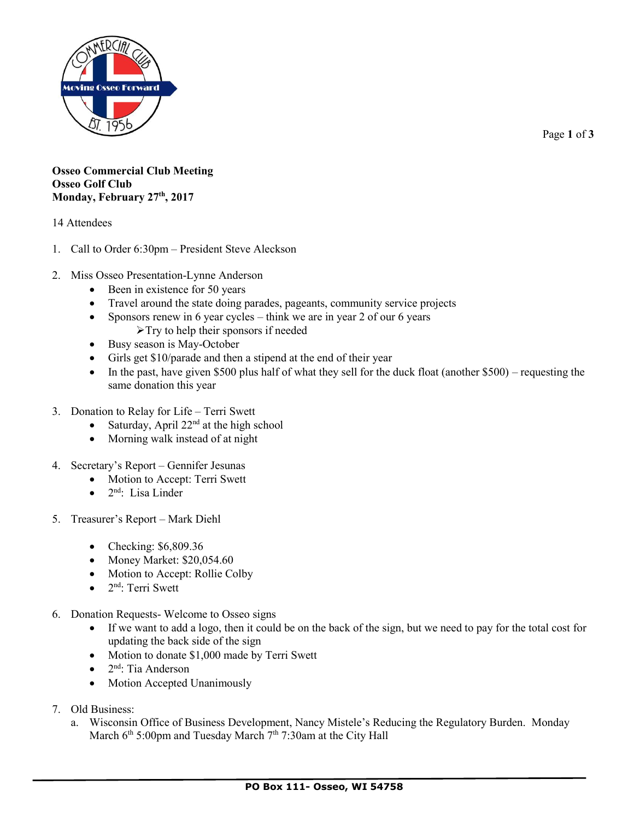

Page **1** of **3**

## **Osseo Commercial Club Meeting Osseo Golf Club Monday, February 27th, 2017**

## 14 Attendees

- 1. Call to Order 6:30pm President Steve Aleckson
- 2. Miss Osseo Presentation-Lynne Anderson
	- Been in existence for 50 years
	- Travel around the state doing parades, pageants, community service projects
	- Sponsors renew in 6 year cycles think we are in year 2 of our 6 years
		- $\triangleright$  Try to help their sponsors if needed
	- Busy season is May-October
	- Girls get \$10/parade and then a stipend at the end of their year
	- In the past, have given \$500 plus half of what they sell for the duck float (another  $$500$ ) requesting the same donation this year
- 3. Donation to Relay for Life Terri Swett
	- Saturday, April  $22<sup>nd</sup>$  at the high school
	- Morning walk instead of at night
- 4. Secretary's Report Gennifer Jesunas
	- Motion to Accept: Terri Swett
	- $\bullet$  2<sup>nd</sup>: Lisa Linder
- 5. Treasurer's Report Mark Diehl
	- Checking: \$6,809.36
	- $\bullet$  Money Market: \$20,054.60
	- Motion to Accept: Rollie Colby
	- $\bullet$  2<sup>nd</sup>: Terri Swett
- 6. Donation Requests- Welcome to Osseo signs
	- If we want to add a logo, then it could be on the back of the sign, but we need to pay for the total cost for updating the back side of the sign
	- Motion to donate \$1,000 made by Terri Swett
	- $\bullet$  2<sup>nd</sup>: Tia Anderson
	- Motion Accepted Unanimously
- 7. Old Business:
	- a. Wisconsin Office of Business Development, Nancy Mistele's Reducing the Regulatory Burden. Monday March  $6<sup>th</sup> 5:00<sub>pm</sub>$  and Tuesday March  $7<sup>th</sup> 7:30<sub>am</sub>$  at the City Hall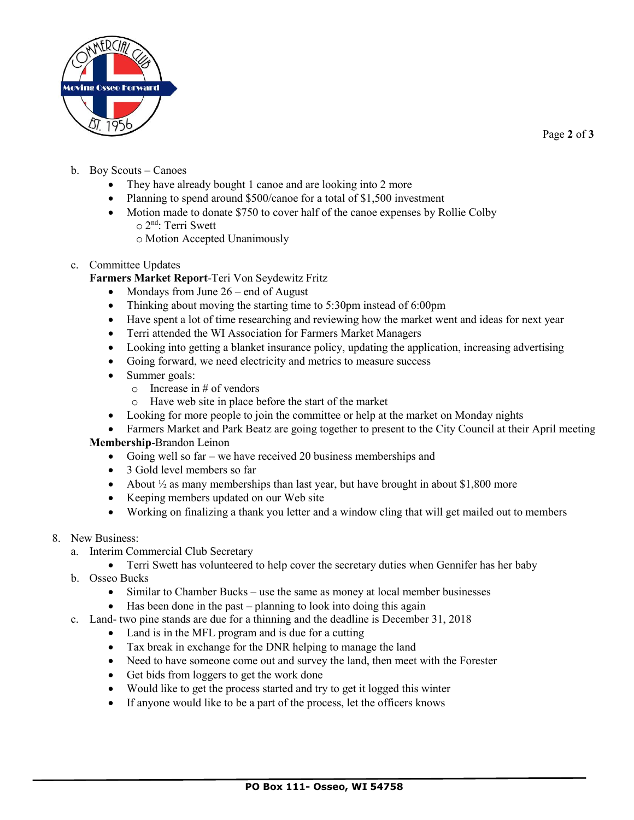

Page **2** of **3**

- b. Boy Scouts Canoes
	- They have already bought 1 canoe and are looking into 2 more
	- Planning to spend around \$500/canoe for a total of \$1,500 investment
	- Motion made to donate \$750 to cover half of the canoe expenses by Rollie Colby o 2 nd: Terri Swett
		- o Motion Accepted Unanimously
- c. Committee Updates

**Farmers Market Report**-Teri Von Seydewitz Fritz

- Mondays from June  $26$  end of August
- Thinking about moving the starting time to 5:30pm instead of 6:00pm
- Have spent a lot of time researching and reviewing how the market went and ideas for next year
- Terri attended the WI Association for Farmers Market Managers
- Looking into getting a blanket insurance policy, updating the application, increasing advertising
- Going forward, we need electricity and metrics to measure success
- Summer goals:
	- $\circ$  Increase in # of vendors
	- o Have web site in place before the start of the market
- Looking for more people to join the committee or help at the market on Monday nights
- Farmers Market and Park Beatz are going together to present to the City Council at their April meeting **Membership**-Brandon Leinon
	- Going well so far we have received 20 business memberships and
	- 3 Gold level members so far
	- About  $\frac{1}{2}$  as many memberships than last year, but have brought in about \$1,800 more
	- Keeping members updated on our Web site
	- Working on finalizing a thank you letter and a window cling that will get mailed out to members
- 8. New Business:
	- a. Interim Commercial Club Secretary
		- Terri Swett has volunteered to help cover the secretary duties when Gennifer has her baby
	- b. Osseo Bucks
		- Similar to Chamber Bucks use the same as money at local member businesses
		- Has been done in the past planning to look into doing this again
	- c. Land- two pine stands are due for a thinning and the deadline is December 31, 2018
		- Land is in the MFL program and is due for a cutting
		- Tax break in exchange for the DNR helping to manage the land
		- Need to have someone come out and survey the land, then meet with the Forester
		- Get bids from loggers to get the work done
		- Would like to get the process started and try to get it logged this winter
		- If anyone would like to be a part of the process, let the officers knows